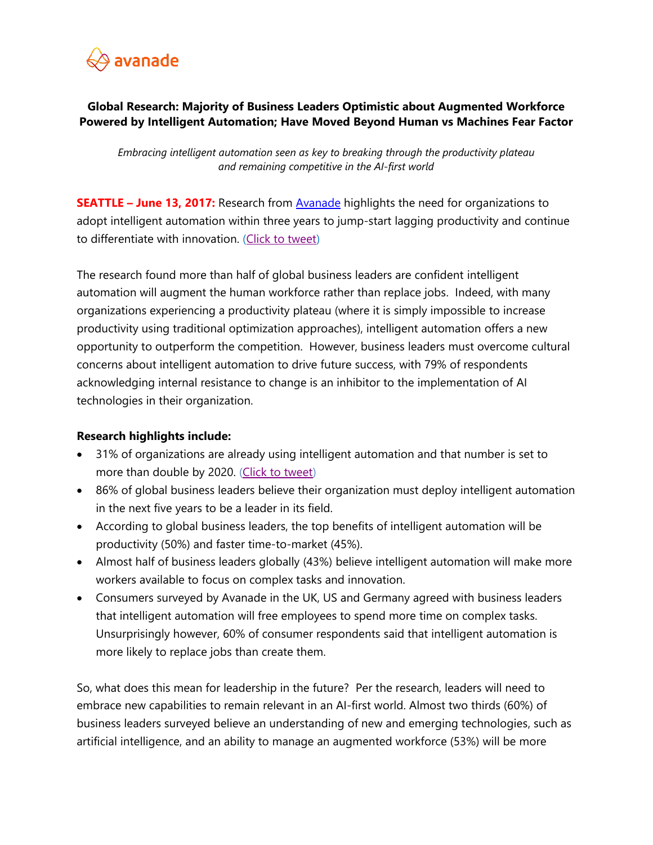

## **Global Research: Majority of Business Leaders Optimistic about Augmented Workforce Powered by Intelligent Automation; Have Moved Beyond Human vs Machines Fear Factor**

*Embracing intelligent automation seen as key to breaking through the productivity plateau and remaining competitive in the AI-first world*

**SEATTLE – June 13, 2017:** Research from **[Avanade](http://www.avanade.com/en/)** highlights the need for organizations to adopt intelligent automation within three years to jump-start lagging productivity and continue to differentiate with innovation. [\(Click to tweet\)](https://ctt.ec/0K3cF)

The research found more than half of global business leaders are confident intelligent automation will augment the human workforce rather than replace jobs. Indeed, with many organizations experiencing a productivity plateau (where it is simply impossible to increase productivity using traditional optimization approaches), intelligent automation offers a new opportunity to outperform the competition. However, business leaders must overcome cultural concerns about intelligent automation to drive future success, with 79% of respondents acknowledging internal resistance to change is an inhibitor to the implementation of AI technologies in their organization.

#### **Research highlights include:**

- 31% of organizations are already using intelligent automation and that number is set to more than double by 2020. [\(Click to tweet\)](https://ctt.ec/C32a2)
- 86% of global business leaders believe their organization must deploy intelligent automation in the next five years to be a leader in its field.
- According to global business leaders, the top benefits of intelligent automation will be productivity (50%) and faster time-to-market (45%).
- Almost half of business leaders globally (43%) believe intelligent automation will make more workers available to focus on complex tasks and innovation.
- Consumers surveyed by Avanade in the UK, US and Germany agreed with business leaders that intelligent automation will free employees to spend more time on complex tasks. Unsurprisingly however, 60% of consumer respondents said that intelligent automation is more likely to replace jobs than create them.

So, what does this mean for leadership in the future? Per the research, leaders will need to embrace new capabilities to remain relevant in an AI-first world. Almost two thirds (60%) of business leaders surveyed believe an understanding of new and emerging technologies, such as artificial intelligence, and an ability to manage an augmented workforce (53%) will be more